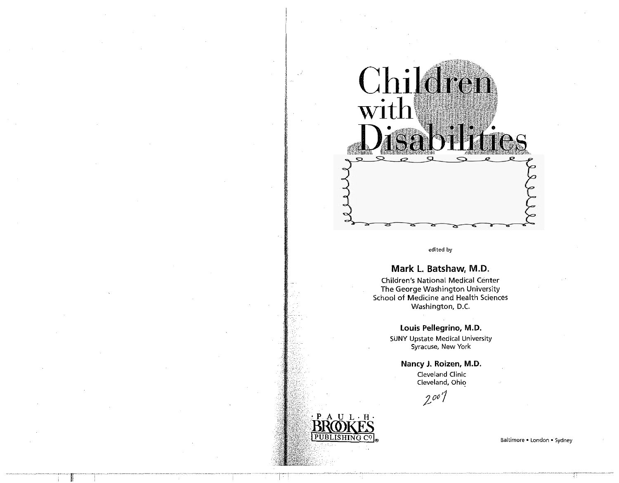

#### **edited by**

# **Mark L. Batshaw, M.D.**

Children's National Medical Center The George Washington University School of Medicine and Health Sciences Washington, D.C.

## **Louis Pellegrino, M.D.**

SUNY Upstate Medical University **Syracuse, New York** 

## **Nancy J. Roizen, M.D.**

**Cleveland Clinic**  Cleveland, Ohio

*Joo'/* 

**Baltimore • London • Sydney**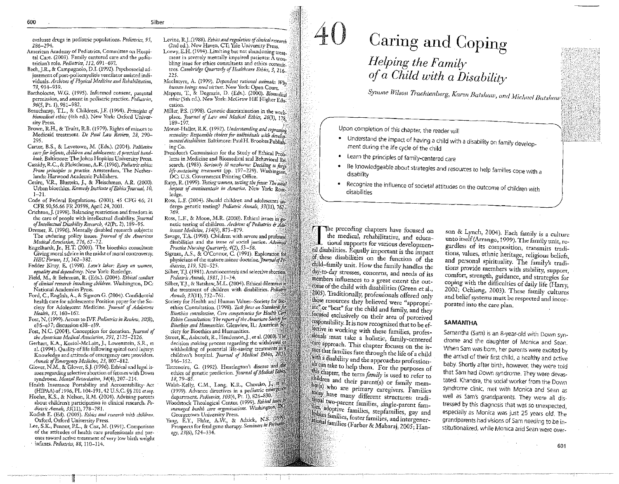evaluate drugs in pediatric populations. *Pediatrics*, 95, 286-294.

American. Academy of Pediatrics, Committee on Hospital Care. (2003). Family centered care and the pediatrician's role. *Pediatrics, 112,* 691-697.

- Bach, J.R., & Campagnolo, D.J. (1992). Psychosocial adjustment of post-poliomyelitis ventilator assisted individuals. *Archives of Physical Medicine and Rehabilitntion, 73,* 934-939.
- Bartholome, W.G. (1995). Informed consent, parental permission, and assent in pediatric practice. *Pediatrics*, 96(5, Pt. 1), 981-982.
- Beauchamp, T.L., & Childress, *].F.* (1994). *Principles of biomedical ethics* (4th ed.). New York: Oxford University Press.
- Brown, R.H., & Truitt, R.B. (1979). Rights of minors to Medicaid treaunent. *De Paul Law Review, 28,* 290- 295.
- Carter, B.S., & Levetown, M. (Eds.). (2004). *Palliative* care for infants, children and adolescents: A practical hand*book.* Baltimore: The johns Hopkins University Press.
- Cassidy, R.C., & Fleischman, A.R. (1996). *Pediatric ethics: From principles to practice.* Amsterdam, The Netherlands: Harwood Academic Publishers.
- Cesire, V.R., Blustein, *).,* & Fleischman, A.R. (2000). Urban bioethics. *Kennedy Institute of Ethics Journal*, 10, 1-21.
- Code of Federal Regulations. (2001). 45 CFG 46; 21 CFR 50,56.66 FR 20598, April24, 2001.
- Crichton,). (1998). Balancing restriction and freedom in the care of people with intellectual disability. *Journal of Intellectual Disability Research, 42(Pt. 2), 189-95.*
- Dresser, R. (1996). Mentally disabled research subjects: The enduring policy issues. *Journal of the American Medical Association, 276, 67-72.*
- Engelhardt, Jr., H.T. (2003). The bioethics consultant: Giving moral advice in the midst of moral controversy. *HEC Forum, 15,* 362-382.
- Fedder Kitay, E. (1998). *Love's Iabar: &say on women,*  equality and dependency. New York: Rutledge.
- Field, M., & Behrman, R. (Eds.). (2004 ). *Ethical cowluct of clinical research involving children.* Washington, *DC:*  National Academies Press.
- Ford, C., English, A., & Sigman G. (2004). Confidential health care for adolescents: Position paper for the Society for Adolescent Medicine. *Joumal of Adulesant lieatth, 35,* 160-167.
- Fost, N. (1999). Access to IVF. Pediatrics in Review, 20(8), e36-e37; discussion e38-e39.
- Fost, N.C. (2004). Conception for donation. *Journal of tbe American Medica/Assodation,* 291, 2125-2126.
- Gerhart, K.A., Koziol-McLain, J., Lowenstein, S.R., et al. (1994). Quality of life following spinal cord injury: Knowledge and attitude of emergency care providers. *Annals of Emergency Medicine, 23, 807-812.*
- Glover, N.M., & Glover, S.J. (1996). Ethical and legal issues regarding selective abortion of fetuses with Down syndrome. *Mental Retardation*, 34(4), 207-214.
- Health Insurance Portability and Accountability· Act {HIPAA) of1996, PL 104-191,42 U.S.C. §§ 201 *etseq.*
- Hoehn, K.S., & Nelson, R.M. (2004). Advising parents about children's participation in clinical research. *Pediatric Annals, 33(11), 778-781.*
- Kodish E. (Ed). (2005). *Ethics and research with children*. Oxford, Oxford University Press.
- Lee, S.K., Penner, P.L., & *Cox,* M. (1991). Comparison of the attitudes of health care professionals and parents toward acrive treatment of very low birth weight infants. *Pediau·irs, 88,* 110-114.
- Levine, R.J. (1988). *Ethics and regulation of clinical research* (2nd ed.). New Haven, CT; Yale University Press.
- Loewy, E.H. (1994). Limiting but not abandoning treatment in severely mentally impaired patients: A troubling issue for ethics consultants and ethics committees. *Cambridge Quarterly of Healthcare Ethics*, 3, 216-225.
- Macintyre, A. (1999). *Dependent mtionnl animals: buman beings need virtues.* New York: Open Court.
- Mappes, T., & Degrazia, D. (Eds.). (2000). Biomedical etbics (5th ed.). New York: McGraw Hill Higher Edu. cation.
- Miller, P.S. (1998). Genetic discrimination in the  $w_0$ rl place. *Journal of Law and Medical Ethics*, 26(3), 178
- 189-197.<br>Monat-Haller, R.K. (1992). Understanding and expressing. sexuality: Responsible choices for individuals with developmental disabilities. Baltimore: Paul H. Brookes Puhlish:
- ing Co.<br>President's Commission for the Study of Ethical Profit lems in Medicine and Biomedical and Behavioral Res search. (1983). Seriously ill newborns: Deciding to forgo
- *life-sustaining treatment* (pp. 197-229). Washington, DC: U.S. Government Printing Office. Rapp, R. (1999). *1Cstiug women, testing tbe fetus:*
- *impact of amniocentesis in America*. New York: Routs ledge. Ross, L.F. (2004). Should children and adolescents  $\overline{\text{un}}$ .
- dergo genetic resting? Pediatric Annals, 33(11), 762-769.
- Ross, L.F., & Moon, M.R. (2000). Ethical issues in eq. netic testing of children. *Archives of Pediatrics & Add le.rcent Mediciue,* 1 S4(9), 873-879.
- Savage, T.A. (1998). Children with severe and profound disabilities and the issne of social justice. Advanced *Practice Nursing Quarterly, 4(2), 53-58.*
- Sigman, A.S., & O'Connor, C. (1991). Exploration for physicians of the mature minor doctrine. *Journal of Pe*diatrics, 119, 520-525.<br>Silber, T.J. (1981). Amniocentesis and selective abortion.
- Pediatric Annals, 1981, 31-34.
- Silber, T.J., & Batshaw, M.L. (2004). Ethical dilemmasjn; the treatment of children with disabilities. Pediatric *Annals, 33(11), 752-761.*<br>Society for Health and Human Values-Society for Big
- ethics Consultation. (1998). Task force on Standards for<br>Bioethics consultation. Core competencies for Health Care *Bibics Consultation: The report of the American Society for*<br>Bioethics and Humanities. Glenview, IL: American So
- ciery for Bioethics and Humanities.<br>Street, K., Ashcroft, R., Henderson, J., et al. (2000): The decision making process regarding the withdrawal or withholding of potential life-saving treatments in a children's hospital. *Journal of Medical Ethics*, 26(5). 346-352.
- Terrenoire, G. (1992). Huntington's disease and the ethics of genetic prediction. Journal of Medical Libits 18, 79-85.
- Walsh-Kelly, C.M., Lang, K.R., Chevako, J., et al. (1999). Advance directives in a pediatric emergency department. Pediatrics, 103(4, Pt. 1), 826-830. Woodstock Theological Center. (1999). Ethical issue in
- manuged health care organizations. Washington, **DG** Georgetown University Press. Yang, E.Y., Flake, A.W., & Adzick, N.S. (1999).
- Prospects for fetal gene therapy. Seminars in Perinalder<br>ogy, 23(6), 524-534.

# Caring and Coping

*Helping the Family· of a Child with a Disability* 

 $$ 

Upon completion of this chapter, the reader will

- Understand the impact of having a child with a disability on family development during the life cycle of the child
- Learn the principles of family-centered care
- be knowledgeable about strategies and resources to help families cope with a<br>disability
- Recognize the influence of societal attitudes on the outcome of children with<br>disabilities

The preceding chapters have focused on the medical, rehabilitative, and educational supports for various developmenin disabilities. Equally important is the impact of these disabilities on the function of the child-family unit. How the family handles the day-to-day stresses, concerns, and needs of its  $z$ : members influences to a great extent the outcome of the child with disabilities (Green et al., 2005). Traditionally, professionals offered only those resources they believed were "appropriate or "best" for the child and family, and they focused exclusively on their area of perceived . It IS now recognized that to be effective in working with these families, professionals must take a holistic, family-centered<br>care approach. This chapter focuses on the issues that families face through the life of a child with a disability and the approaches professionals can take to help them. For the purposes of this chapter, the term *family* is used to refer to children and their parent(s) or family member(s) who are primary caregivers. Families today have many different structures: tradilonal two-parent families, single-parent famgas adoptive families, stepfamilies, gay and<br>gay and families, foster families, and intergenerational families (Farber & Maharaj, 2005; Han-

son & Lynch, 2004). Each family is a culture unto itself (Arrango, 1999). The family unit, regardless of its composition, transmits traditions, values, ethnic heritage, religious beliefs, and personal spirituality. The family's traditions provide members with stability, support, comfort, strength, guidance, and strategies for coping with the difficulties of daily life (Harry, 2002; Ochieng, 2003). These family cultures and belief systems must be respected and incorporated into the care plan.

#### SAMANTHA

Samantha (Sam) is an 8-year-old with Down syndrome and the daughter of Monica and Sean. When Sam was born, her parents were excited by the arrival of their first child, a healthy and active baby. Shortly after birth, however, they were told that Sam had Down syndrome. They were devastated. Khandra, the social worker from the Down syndrome clinic, met with Monica and Sean as well as Sam's grandparents. They were all distressed by this diagnosis that was so unexpected, especially as Monica was just 25 years old. The grandparents had visions of Sam needing *to* be institutionalized, while Monica and Sean were over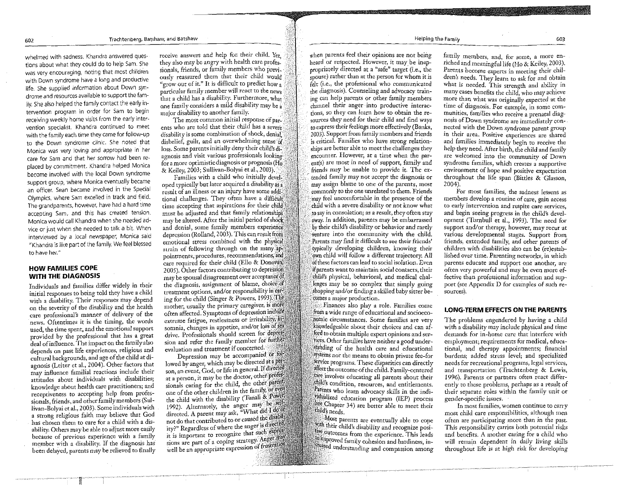whelmed with sadness. Khandra answered questions about what they could do to help Sam. She was very encouraging, noting that most children with Down syndrome have a long and productive life. She supplied information about Down syndrome and resources available to support the family. She also helped the family contact the early intervention program in order for Sam to begin receiving weekly home visits from the early intervention specialist. Khandra continued to meet with the family each time they came for follow-up to the Down syndrome clinic. She noted that Monica was very loving and appropriate in her care for Sam and that her sorrow had been replaced by commitment. Khandra helped Monica become involved with the local Down syndrome support group, where Monica eventually became an officer. Sean became involved in the Special Olympics, where Sam excelled in track and field. The grandparents, however, have had a hard time accepting Sam, and this has created tension. Monica would call Khandra when she needed advice or just when she needed to talk a bit. When interviewed by a local newspaper, Monica said "Khandra is like part of the family. We feel blessed to have her."

#### HOW FAMILIES COPE WITH THE DIAGNOSIS

Individuals and families differ widely in their initial responses to being told they have a child with a disability. Their responses may depend on the severity of the disability and the health care professional's manner of delivery of the news. Oftentimes it is the timing, the words used, the time spent, and the emotional support provided by the professional that has a great deal of influence. The impact on the family also depends on past life experiences, religious and cultural backgrounds, and age of the child at diagnosis (Leiter et al., 2004). Other factors that may influence familial reactions include their attitudes about individuals with disabilities; knowledge about health care practitioners; and receptiveness to accepting help from professionals, friends, and other family members (Sullivan-Bolyai et al., 2003). Some individuals with a strong religious faith may believe that God has chosen them to care for a child with a disability. Others may be able to adjust more easily because of previous experience with a family member with a disability. If the diagnosis hasbeen delayed, parents may be relieved to finally

receive answers and help for their child. Yet, they also may be angry with health care professionals, friends, or family members who previously reassured them that their child would "grow out of it." It is difficult to predict how a particular family member will react to the news that a child has a disability. Furthermore, what one family considers a mild disability may be a major disability to another family.

The most common initial response of parents who are told that their child has a disability is some combination of shock, denial. disbelief, guilt, and an overwhelming sense of loss. Some parents initially deny their child's diagnosis and visit various professionals looking for a more optimistic diagnosis or prognosis (Ho & Keiley, 2003; Sullivan-Bolyai et al., 2003).

Families with a child who initially developed typically but later acquired a disability as a result of an illness or an injury have some addi<sup>2</sup> tional challenges. They often have a difficult time accepting that aspirations for their child must be adjusted and that family relationships may be altered. After the initial period of shock and denial, some family members experience depression (Rolland, 2003). This can result from emotional stress combined with the physical strain of following through on the many appointments; procedures, recommendations, care required for their child (Ello & Donovan, 2005). Other factors contributing to depression may be spousal disagreement over acceptance of the diagnosis, assignment of blame, choice of treatment options, and/or responsibility in caring for the child (Singer & Powers, 1993). The mother, usually the primary caregiver, is more often affected. Symptoms extreme fatigue, restlessness or irritability, insomnia, changes in appetite, and/or loss of sex drive. Professionals should screen for depression and refer the family member for further evaluation and treatment if concerned.

Depression may be accompanied or followed by anger, which may be directed at a person, an event, God, or life in general. If directed at a person, it may be the doctor, other professionals caring for the child, the other parents one of the other children in the family, or even the child with the disability (Tunali & Power, 1992). Alternately, the anger may be selfdirected. A parent may ask, "What did 1:do of not do that contributed to or caused the disability?" Regardless of where the anger is directed it is important to recognize that such express sions are part of a coping strategy. Anger may well be an appropriate expression of frustration when parents feel their opinions are not being heard or respected. However, it may be inappropriately directed at a "safe" target (i.e., the spouse) rather than at the person for whom it is felt (i.e., the professional who communicated the diagnosis). Counseling and advocacy training can help parents or other family members channel their anger ·into productive interactions, so they can learn how to obtain the resources they need for their child and find ways to express their feelings more effectively (Banks, 2003). Support from family members and friends is critical. Families who have strong relationships are better able to meet the challenges they encounter. However, at a time when the parent(s) are most in need of support, family and friends may be unable to provide it. The extended family may not accept the diagnosis or may assign blame to one of the parents, most commonly to the one unrelated to them. Friends may feel uncomfortable in the presence of the .child with a severe disability or not know what to say in consolation; as a result, they often stay away. In addition, parents may be embarrassed by their child's disability or behavior and rarely venture into the community with the child. Parents may find it difficult to see their friends' typically developing children, knowing their win child will follow a different trajectory. All  $^{\circ}$ of these factors can lead to social isolation. Even if parents want to maintain social contacts, their child's physical, behavioral, and medical challenges may be so complex that simply going shopping and/or finding a skilled baby sitter be-<br>comes a major production.

Finances also play a role. Families come from a wide range of educational and socioeconomic circumstances. Some families are very knowledgeable about their choices and can afford to obtain multiple expert opinions and services. Other families have neither a good understanding of the health care and educational systems nor the means to obtain private fee-for<br>service programs. These disparities can directly e ;.;::~;~;::;~;·,:T;:h;;e~~s::e disparities can directly <sup>~</sup>child. Family-centered care involves educating all parents about their child's condition, resources, and entitlements. Parents who learn advocacy skills in the individualized education program (IEP) process <sup>35</sup> (See Chapter 34) are better able to meet their child's needs.

Most parents are eventually able to cope with their child's disability and recognize posilive outcomes from the experience. This leads fo improved family cohesion and hardiness, intreased understanding and compassion among family members, and, for some, a more enriched and meaningful life (Ho & Keiley, 2003). Parents become experts in meeting their children's needs. They learn to ask for and obtain what *is* needed. This strength and ability in many cases benefits the child, who may achieve more than what was originally expected at the time of diagnosis. For example, in some communities, families who receive a prenatal diagnosts of Down syndrome are immediately connected with the Down syndrome parent group in their area, Positive experiences are shared and families immediately begin to receive the help they need. After birth, the child and family are wdcomed into the conununity of Down syndrome families, which creates a supportive environment of hope and positive expectation throughout the life span (Bittles & Glasson,  $2004$ ).

For most families, the sadness lessens as members develop a routine of care, gain access to early intervention and respite care services, and begin seeing progress in the child's development (Turnbull et al., 1993). The need for support and/or therapy, however, may recur at various developmental stages. Support from friends, extended family, and other parents of children with disabilities also can be (re)established over time. Parenting networks, in which parents educate and support one another, are often very powerful and may be even more effective than professional information and support (see Appendix D for examples of such resources).

#### LONG· TERM EFFECTS ON THE PARENTS

The problems engendered by having a child with a disability may include physical and time demands for in-home care that interfere with employment; requirements for medical, educational) and therapy appointments; financial burdens; added stress level; and specialized needs for recreational programs, legal services, and transportation (Trachtenberg & Lewis, 1996). Parents or partners often react differently to these problems, perhaps as a result of their separate roles within the family unit or gender-specific issues.

In most families, women continue to carry most child care responsibilities, although men often are participating more than in the past. This responsibility carries both potential risks and benefits. A mother caring for a child who will remain dependent in daily living skills throughout life is at high risk for developing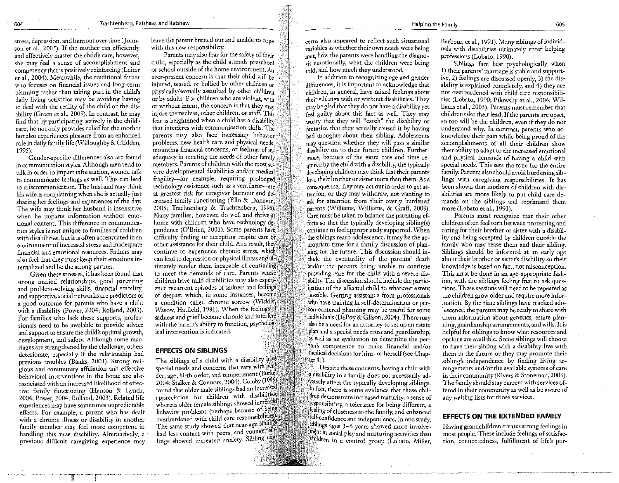stress, depression, and burnout over time (Johnson et al., 2005). If the mother can efficiently and effectively master the child's care, however, she may feel a sense of accomplishment and competency that is positively reinforcing (Leiter et al., 2004). Meanwhile, the traditional father who focuses on financial issues and long-term planning rather than taking part in the child's daily living activities may be avoiding having to deal with the reality of the child or the disability (Green et al., 2005). In contrast, he may find that by participating actively in the child's care, he not only provides relief for the mother but also experiences pleasure from an enhanced role in daily family life (Willoughby & Glidden, 1995).

Gender-specific differences also are found in communication styles. Although men tend to talk in order to impart information, women talk to communicate feelings as well. This can lead to miscommunication. The husband may think his wife is complaining when she is actually just sharing her feelings and experiences of the day. The wife may think her husband is insensitive when he imparts information without emotional content. This difference in communication styles is not unique to families of children with disabilities, but it is often accentuated in an environment of increased stress and inadequate financial and emotional resources. Fathers may also feel that they must keep their emotions internalized and be the strong partner.

Given these stresses, it has been found that strong marital relationships, good parenting and problem-solving skills, financial stability, and supportive social networks are predictors of a good outcome for parents who have a child with a disability (Power, 2004; Rolland, 2003). For families who lack these supports, professionals need to be available to provide advice and support to ensure the child's optimal growth, development, and safety. Although some marriages are strengthened by the challenge, others deteriorate, especially if the relationship had previous troubles (Banks, 2003). Strong religious and community affiliation and effective behavioral interventions in the home are also associated with an increased likelihood of effective family functioning (Hanson & Lynch, 2004; Power, 2004; Rolland, 2003). Related life experiences may have sometimes unpredictable effects. For example, a parent who has dealt with a chronic illness or disability in another family member may feel more competent in handling this new disability. Alternatively, a previous difficult caregiving experience may leave the parent burned out and unable to cope with this new responsibility.

Parents may also fear for the safety of their child, especially as the child attends preschool or school outside of the home environment. An ever-present concern is that their child will be injured, teased, or bullied by other children or physically/sexually assaulted by other children or by adults. For children who are violent, with or without intent, the concern is that they may injure themselves, other children, or staff. This fear is heightened when a child has a disability that interferes with communication skills. The parents may also face increasing behavior problems, new health care and physical needs. mounting financial concerns, or feelings of inadequacy in meeting the needs of other family members. Parents of children with the most severe developmental disabilities and/or medical<br>fragility-for example, requiring prolonged fraggility-for example, requiring-formal technology assistance such as a ventilator--are creased family functioning (Ello & Donovan. 2005; Trachtenberg & Trachtenberg, 1996). Many families, however, do well and thrive at home with children who have technology dependence (O'Brien, 2001). Some parents have difficulty finding or accepting respite care or other assistance for their child. As a continue to experience chronic stress, which<br>can lead to depression or physical illness and ultimately render them incapable of continuing to meet the demands of care. Parents children have mild disabilities may also experience recurrent episodes of sadness and of despair, which, in some instances, a condition called chronic sorrow (Wickler, Wasow, Hatfield, 1981). When the feelings of sadness and grief become chronic and interfere with the parent's ability to function, psychological intervention is indicated.

#### EFFECTS ON SIBLINGS

The siblings of a child with a disability have special needs and concerns that vary with gender, age, birth order, and temperament 2004; Stalker & Connors, 2004). found that older male siblings had an increased appreciation for children with disabilities. whereas older female siblings showed increased behavior problems (perhaps because of being overburdened with child care responsibilities) The same study showed that near-age siblings had less contact with peers, and younger siblings showed increased anxiety. Sibling concerns also appeared to reflect such situational variables as whether their own needs were being met, how the parents were handling. the diagnosis emotionally, what the children were being told, and how much they understood.

In addition to recognizing age and gender differences, it is important to acknowledge that children, in general, have mixed feelings about their siblings with or without disabilities. They may be glad that they do not have a disability yet feel guilty about this fact as well. They may worry that they will "catch" the disability or fantasize that they actually caused it by having bad thoughts about their sibling. Adolescents may question whether they will pass a similar disability on to their future children. Furthermore, because of the extra care and time required by the child with a disability, the typically developing children may think that their parents love their brother or sister more than them. As a consequence, they may act out in order to get attention, or they may withdraw, not wanting to ask for attention from their overly burdened parents (YVilliams, Williams, & Graff, 2003). Care must be taken to balance the parenting efforts so that the typically developing sibling(s) continue to feel appropriately supported. When the siblings reach adolescence, it may be the appropriate time for a family discussion of planning for the future. This discussion should indude the eventuality of the parents' death and/or the parents being unable to continue providing care for the child with a severe disability. The discussion should include the participation of the affected child to whatever extent possible. Getting assistance from professionals Who have training in self-determination or per-Son-centered planning may be useful for some individuals (DePoy & Gilson, 2004 ). There may also be a need for an attorney to set up an estate plan and a special needs trust and guardianship, as well as an evaluation to determine the person's competence to make financial and/or medical decisions for him- or herself (see Chapter 41).

Despite these concerns, having a child with a family does not necessarily ad- . verselv affect the typically developing siblings. In fact, there is some evidence that these chil-<br>dren demonstrate increased maturity, a sense of responsibility, a tolerance for being different, a feeling of closeness to the family, and enhanced self-confidence and independence. In one study, siblings ages 3-6 years showed more involvement in social play and nurturing activities than children in a control group (Lobato, Miller, Barbour, et al., 1991). Many siblings of individuals with disabilities ultimately enter helping professions (Lobato, 1990).

Siblings fare best psychologically when 1) their parents' marriage is stable and supportive, 2) feelings are discussed openly, 3) the disability is explained completely, and 4) they are not overburdened with child care responsibilities (Lobato, 1990; Pilowsky et a!., 2004; Williams et al., 2003). Parents must remember that children take their lead. If the parents are upset, so too will be the children, even if they do not understand why. In contrast, parents who acknowledge their pain while being proud of the accomplishments of all their children show their ability to adapt to the increased emotional and physical demands of having a child with special needs. This sets the tone for the entire family. Parents also should avoid burdening siblings with caregiving responsibilities. It has been shown that mothers of children with disabilities are more likely to put child care demands on the siblings and reprimand them more (Lobato et al., 1991).

Parents must recognize that their other children often feel torn between protecting and caring for their brother or sister with a disability and being accepted by children outside the family who may tease them and their sibling. Siblings should be informed at an early age about their brother or sister's disability so their knowledge is based on fact, not misconception. This must be done in an age-appropriate fashion, with the siblings feeling free to ask questions. These sessions will need to be repeated as the children grow older and require more information. By the time siblings have reached adolescence, the parents may be ready to share with them information about genetics, estate planning, guardianship arrangements, and wills. It is helpful for siblings to know what resources and options are available. Some siblings will choose to have their sibling with a disability live with them in the future or they may promote their sibling's independence by finding living arrangements and/or the available systems of care in their community (Rivers & Stoneman, 2003). The family should stay current with services offered in their community as well as be aware of any waiting lists for those services.

#### EFFECTS ON THE EXTENDED FAMILY

Having grandchildren creates strong feelings in most people. These include feelings of satisfaction, connectedness, fulfillment of life's pur-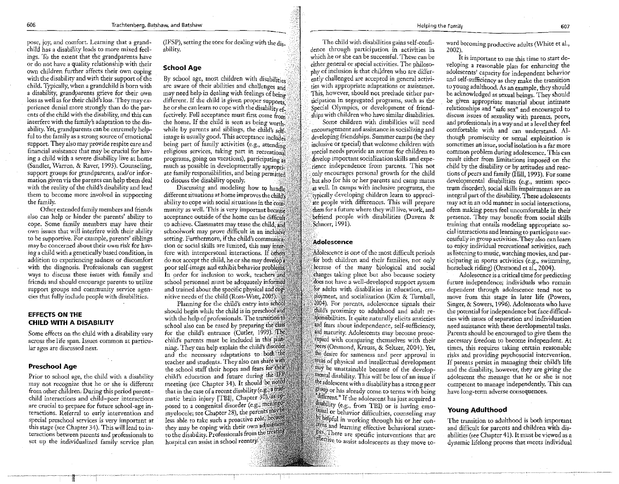pose, joy, and comfort. Learning that a grandchild has a disability leads co more mixed feelings. To the extent that the grandparents have or do not have a quality relationship with their own children further affects their own coping with the disability and with their support of the child. Typically, when a grandchild is born with a disability, grandparents grieve for their own loss as well as for their child's loss. Theymayexperience denial more strongly than do the parents of the child with the disability, and this can interfere with the family's adaptation to the disability. Yet, grandparents can be extremely helpful to the family as a strong source of emotional support. They also may provide respite care and financial assistance that may be crucial for having a child with a severe disability live at home (Sandler, Warren, & Raver, 1995). Counseling, support groups for grandparents, and/or information given via the parents can help them deal with the reality of the child's disability and lead them to become more involved in supporting the family.

Other extended family members and friends also can help or hinder the parents' ability to cope. Some family members may have their own issues that will interfere with their ability to be supportive. For example, parents' siblings may be concerned about their own risk for having a child with a genetically based condition, in addition to experiencing sadness or discomfort with the diagnosis. Professionals can suggest ways to discuss these issues with family and friends and should encourage parents to utilize support groups and community service agencies that fully include people with disabilities.

#### EFFECTS ON THE CHILD WITH A DISABILITY

Some effects on the child with a disability vary across the life span. Issues common at particular ages are discussed next.

#### **Preschool Age**

Prior to school age, the child with a disability may not recognize that he or she is different from other children. During this period parentchild interactions and child~peer interactions are crucial to prepare for future school-age interactions. Referral to early intervention and special preschool services is very important at this stage (see Chapter 34). This will lead to interactions between parents and professionals to set up the individualized family service plan (IFSP), setting the tone for dealing with the disability.

#### School Age

By school age, most children with disabilities are aware of their abilities and challenges  $_{\text{and}}$ may need help in dealing with feelings of being different. If the child is given proper supports he or she can learn to cope with the disability  $_{\rm eff.}$ fectively. Full acceptance must first come from the home. If the child is seen as being worth. while by parents and siblings, the child's selfimage is usually good. This acceptance includes being part of family activities (e.g., attending religious services, taking part in recreational programs, going on vacations), participating as much as possible in developmentally appropriate family responsibilities, and being permitted to discuss the disability openly.

Discussing and modeling how to handle<br>different situations at home improves the child's ability to cope with social situations in the com-<br>munity as well. This is very important because acceptance outside of the home can be difficult to achieve. Classmates may tease the child, and schoolwork may prove difficult in an inclusive setting. Furthermore, if the child's communication or social skills are limited, this may interfere with interpersonal interactions. If others do not accept the child, he or she may develop a poor self-image and exhibit behavior problems. In order for inclusion to work, teachers and school personnel must be adequately informed and trained about the specific physical and cornitive needs of the child (Ross-Watt, 2005)

Planning for the child's entry into school should begin while the child is in preschool and with the help of professionals. The transition to<br>school also can be eased by preparing the class for the child's entrance (Cutler, 1993). The child's parents must be included in this planning. They can help explain the and the necessary adaptations to both the teacher and students. They also can share with the school staff their hopes and fears for their child's education and future during the IEP meeting (see Chapter 34). It should be noted that in the case of a recent disability (e.g., a traumatic brain injury [TBI], Chapter 30), as opposed to a congenital disorder (e.g., meningo myelocele; see Chapter 28), the parents maybe less able to take such a proactive role, because they may be coping with their own adjustment to the disability. Professionals from the treating hospital can assist in school reentry.

The child with disabilities gains self-confidence through participation in activities in which he or she can be successful. These can be either general or special activities. The philosophy of inclusion is that children who are differently challenged are accepted in general activities with appropriate adaptations or assistance. This, however, should not preclude either participation in segregated programs, such as the Special Olympics, or development of friendships with children who have similar disabilities.

Some children with disabilities will need encouragement and assistance in socializing and developing friendships. Summer camps (be they inclusive or special) that welcome children with special needs provide an avenue for children to develop important socialization skills and experience independence from parents. This not only encourages personal growth for the child but also for his or her parents and camp mates as well. In camps with inclusive programs, the typically developing children learn to appreciate people with differences. This will prepare them for a future where they will live, work, and befriend people with disabilities (Davern & Schnorr, 1991).

#### Adolescence

Adolescence is one of the most difficult periods for both children and their families, not only because of the many biological and social changes taking place but also because society does not have a well-developed support system for adults with disabilities in education, employment, and socialization (Kim & Turnbull, 2004). For parents, adolescence signals their child's proximity to adulthood and adult responsibilities. It quite naturally elicits anxieties and fears about independence, self-sufficiency, and maturity. Adolescents may become preoccupied with comparing themselves with their peers (Orsmond, Krauss, & Seltzer, 2004). Yet, the desire for sameness and peer approval in ateas of physical and intellectual development may be unattainable because of the developmental disability. This will be less of an issue if  $^{\circ}_{\cdot}$  the adolescent with a disability has a strong peer group or has already come to terms with being different." If the adolescent has just acquired a disability (e.g., from TBI) or is having emofional or behavior difficulties, counseling may be helpful in working through his or her conlerns and learning effective behavioral strategies. There are specific interventions that are effective to assist adolescents as they move toward becoming productive adults (White et al., 2002).

It is important to use this time to start developing a reasonable plan for enhancing the adolescents' capacity for independent behavior and self-sufficiency as they make the transition to young adulthood. As an example, they should be acknowledged as sexual beings. They should be given appropriate material about intimate relationships and ''safe sex" and encouraged to discuss issues of sexuality with parents, peers, and professionals in a way and at a level they feel comfortable with and can understand. Although promiscuity or sexual exploitation is sometimes an issue, social isolation is a far more common problem during adolescence. This can result either from limitations imposed on the child by the disability or by attitudes and reactions of peers and family (Hill, 1993). For some developmental disabilities (e.g., autism spectrum disorder), social skills impairments are an integral part of the disability. These adolescents may act in an odd manner in social interactions, often making peers feel uncomfortable in their presence. They may benefit from social skills training that entails modeling appropriate social interactions and learning to participate successfully in group activities. They also can learn to enjoy individual recreational activities, such as listening to music, watching movies, and participating in sports activities (e.g., swimming, horseback riding) (Orsmond et al., 2004).

Adolescence is a critical time for predicting future independence; individuals who remain dependent through adolescence tend not to move from this stage in later life (Powers, Singer, & Sowers, 1996). Adolescents who have the potential for independence but face difficulties with issues of separation and individuation need assistance with these developmental tasks. Parents should be encouraged to give them the necessary freedom to become independent. At times, this requires taking certain reasonable risks and providing psychosocial intervention. If parents persist in managing their child's life and the disability, however, they are giving the adolescent the message that he or she is not competent to manage independently. This can have long-term adverse consequences.

#### Young Adulthood

The transition to adulthood is both important and difficult for parents and children with disabilities (see Chapter 41). It must be viewed as a dynamic lifelong process that meets individual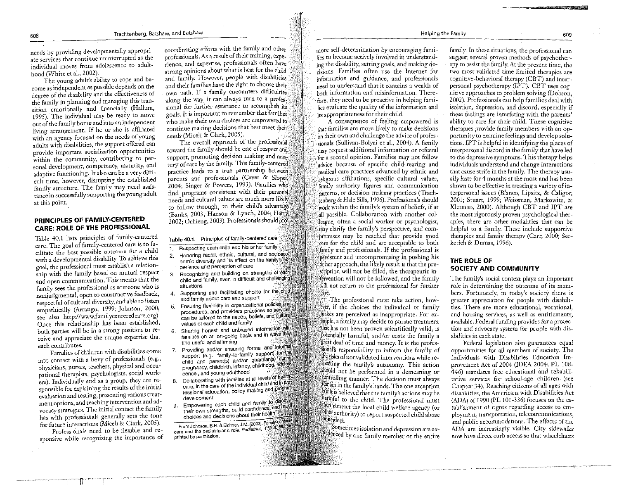needs by providing developmentally appropriate services that continue uninterrupted as the individual moves from adolescence to adulthood (White et al., 2002).

The young adult's ability to cope and become as independent as possible depends on the degree of the disability and the effectiveness of the family in planning and managing this transition emotionally and financially (Hallum, 1995). The individual may be ready to move out of the family home and into an independent living arrangement. If he or she is affiliated with an agency focused on the needs of young adults with disabilities, the support offered can provide important socialization opportunities within the community, contributing to personal development, competency, maturity, and adaptive functioning. It also can be a very difficult time, however, disrupting the established family structure, The family may need assistance in successfully supporting the young adult at this point.

#### PRINCIPLES OF FAMILY-CENTERED CARE: ROLE OF THE PROFESSIONAL

Table 40.1 lists principles of family-centered care. The goal of family-centered care is to facilitate the best possible outcome fur a child with a developmental disability. To achieve this goal, the professional must establish a relationship with the family based on mutual respect and open communication. This means that the family sees the professional as someone who is nonjudgmental, open to constructive feedback, respectful of cultural diversity, and able to listen empathically (Arrango, 1999; Johnson, 2000; see also http://www.familycenteredcare.org). Once this relationship has been established, both parties will be in a strong position to receive and appreciate the unique expertise that each contributes.

Families of children with disabilities come into contact with a bevy of professionals (e.g., physicians, nurses, teachers, physical and occupational therapists, psychologists, social workers). Individually and as a group, they are responsible for explaining the results of the initial evaluation and testing, presenting various treatment options, and teaching intervention and advocacy strategies. The initial contact the family has with professionals generally sets the tone for future interactions (Miceli & Clark, 2005).

Professionals need to be flexible and responsive while recognizing the importance of

coordinating efforts with the family and other professionals. As a result of their training, experience, and expertise, professionals often have strong opinions about what is best for the child and family. However, people with disabilities and their families have the right to choose their own path. If a family encounters difficulties along the way, it can always turn to a professional for further assistance to accomplish its goals.lt is important to remember that families who make their own choices are empowered to continue making decisions that best meet their needs (Miceli & Clark, 2005).

The overall approach of the professional toward the family should be one of respect and support, promoting decision making and mastery of care by the family. This family-centered practice leads to a true partnership between parents and professionals (Cavet & Sloper 2004; Singer & Powers, 1993). find programs consistent with their personal needs and cultural values are much more likely to follow through, to their child's advantage (Banks, 2003; Hanson & Lynch, 2004; Harry 2002; Ochieng, 2003). Professionals should

#### **Table 40.1.**

- 1. Respecting each child and his or her family
- 2. Honoring racial, ethnic, cultural, and socioeconomic diversity and its effect on the family's experience and perception of care
- 3. Recognizing and building on strengths of each child and family, even in difficult and challenging situations
- 4. Supporting and facilitating choice for the child and family about care and support
- 5. Ensuring flexibility in organizational policies and procedures, and providers practices so services can be tailored to the needs, beliefs, and cultural values of each child and
- 6. Sharing honest and unbiased information with families on an on-going basis and in ways they find useful and affirming
- 7. Providing and/or ensuring formal and informal<br>support (e.g., family-to-family support) for the child and parent(s) and/or guardian(s) during pregnancy, childbirth, infancy, childhood, addescence , and young adulthood
- 8. Collaborating with families at all levels of health care, in the care of the individual child and in professional education, policy making and program development
- 9. Empowering each child and family to discover their own strengths, build confidence, and make choices and decisions about their health

From Johnson, B.H. & Eichner, J.M. (2003), Family-centered care and the pediatrician's role. Pediatrics, 112(3) 692.18 printed by permission.

1note self-determination *by* encouraging families to become actively involved in understanding the disability, setting goals, and making decisions. Families often use the Internet for information and guidance, and professionals need to understand that it contains a wealth of both information and misinformation. Therefore, they need to be proactive in helping families evaluate the quality of the information and its appropriateness for their child.

*A* consequence of feeling enipowered is that families are more likely to make decisions on their own and challenge the advice of professionals (Sullivan-Bolyai et al., 2004). A family may request additional information or referral for a second opinion. Families may not follow advice because of specific child-rearing and medical care practices advanced by ethnic and religious affiliations, specific cultural values, family authority figures and communication ·patterns, or decision-making practices (Trach- 'tenberg & Hale Sills, 1996). Professionals should work within the family's system of beliefs, if at all possible. Collaboration with another colleague, often a social worker or psychologist, may clarify the family's perspective, and compromises may be reached that provide good care for the child and are acceptable to both family and professionals. If the professional is<br>persistent and uncompromising in pushing his persistent and uncompromising in pushing his<br>corber approach, the likely result is that the prescription will not be filled, the therapeutic intervention will not be followed, and the family will not return to the professional for further care.

The professional must take action, however, if the choices the individual or family makes are perceived as inappropriate. For example, a family may decide to pursue treatment that has not been proven scientifically valid, is potentially harmful, and/or costs the family a great deal of time and money. It is the professional's responsibility to inform the family of the risks of nonvalidated interventions while respecting the family's autonomy. This action should not be performed in a demeaning or controlling manner. The decision must always femain in the family's hands. The one exception is it is believed that the family's actions may be harmful to the child. The professional must then contact the local child welfare agency (or other authority) to report suspected child abuse

·>o•rntstirncs isolation and depression are experienced by one family member or the entire family. In these situations, the professional can suggest several proven methods of psychotherapy to assist the family. At the present time, the two most validated time limited therapies are cognitive-behavioral therapy (CBT) and interpersonal psychotherapy  $(\dot{P}T)$ . CBT uses cognitive approaches to problem solving (Dobson, 2002). Professionals can help families deal with isolation, depression, and discord, especially if these feelings are interfering with the parents' ability to care for their child. These cognitive the::apies provide family members with an opportunity to examine feelings and develop solutions. IPT is helpful in identifying the places of interpersonal discord in the family that have led to the depressive symptoms. This therapy helps individuals understand and change interactions that cause strife in the family. The therapy usually lasts for 4 months at the most and has been shown to be effective in treating a variety of interpersonal issues (Blanco, Lipsitz, & Caligor, 2001; Stuart, 1999; Weissman, Markowitz, & Klerman, 2000). Although CBT and IPT are the most rigorously proven psychological therapies, there are other modalities that can be helpful to a family. These include supportive therapies and family therapy (Carr, 2000; Serketich & Dumas, 1996).

#### THE ROLE OF SOCIETY AND COMMUNITY

The family's social context plays an important role in determining the outcome of its members. Fortunately, in today's society there is greater appreciation for people with disabilities. There are more educational, vocational, and housing services, as well as entitlements, available. Federal funding provides for a protection and advocacy system for people with disabilities in each state.

Federal legislation also guarantees equal opportunities for all members of society. The Individuals with Disabilities Education Improvement Act of 2004 (IDEA 2004; PL 108- 446) mandates free educational and rehabilitative services for school-age children- (see Chapter 34). Reaching citizens of all ages with disabilities, the Americans with Disabilities Act  $(ADA)$  of 1990 (PL 101-336) focuses on the establishment of rights regarding ucccss to employment, transportation, telecommunications, and public accommodations. The effects of the ADA are increasingly visible. City sidewalks now have direct curb access so that wheelchairs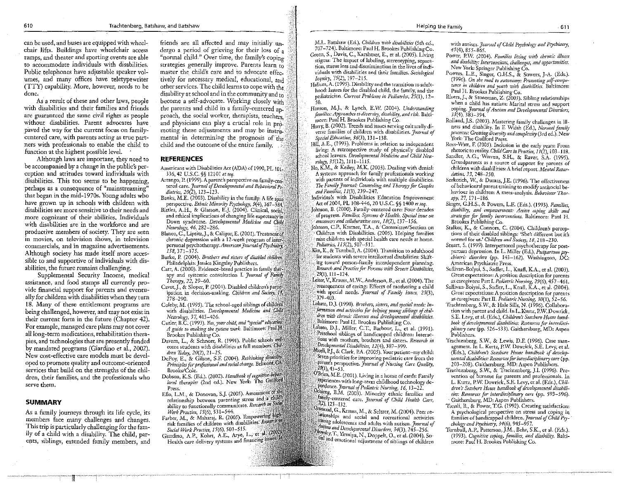can be used, and buses are equipped with wheelchair lifts. Buildings have wheelchair access ramps, and theater and sporting events are able to accommodate individuals with disabilities. Public telephones have adjustable speaker volumes, and many offices have teletypewriter (TTY) capability. More, however, needs to be done.

As a result of these and other laws, people with disabilities and their families and friends are guaranteed the same civil rights as people without disabilities. Parent advocates have paved the way for the current focus on familycentered care, with parents acting as true partners with professionals to enable the child to function at the highest possible level.

Although laws are important, they need to be accompanied by a change in the public's perception and attitudes toward individuals with disabilities. This too seems to be happening, perhaps as a consequence of "mainstreaming" that began in the mid-1970s. Young adults who have grown up in schools with children with disabilities are more sensitive to their needs and more cognizant of their abilities. Individuals with disabilities are in the workforce and are productive members of society. They are seen in movies, on television shows, in television commercials, and in magazine advertisements. Although society has made itself more accessible to and supportive of individuals with disabilities, the future remains challenging.

Supplemental Security Income, medical assistance, and food stamps all currently provide financial support for parents and eventually for children with disabilities when they turn 18. Many of these entitlement programs are being challenged, however, and may not exist in their current form in the future (Chapter 42). For example, managed care plans may not cover all long-term medications, rehabilitation therapies, and technologies that are presently funded by mandated programs (Giardino et al., 2002). New cost-effective care models must be developed to promote quality and outcome-oriented services that build on the strengths of the children, their families, and the professionals who serve them.

#### **SUMMARY**

As a family journeys through its life cycle, its members face many challenges and changes. This trip is particularly challenging for the family of a child with a disability. The child, parents, siblings, extended family members, and

friends are all affected and may initially undergo a period of grieving for their loss of a "normal child." Over time, the family's coping strategies generally improve. Parents learn to master the child's care and to advocate effectively for necessary medical, educational, and other services. The child learns to cope with the disability at school and in the community and to become a self-advocate. Working closely with the parents and child in a family-centered approach, the social worker, therapists, teachers and physicians can play a crucial role in promoting these adjustments and may be instrumental in determining the prognosis of the child and the outcome of the entire family.

#### REFERENCES

- Americans with Disabilities Act (ADA) of 1990, PL 101. 336, 42 U.S.C. §§ 12101 et seq.
- Arrango, P. (1999). A parent's perspective on family-centered care, Journal of Developmental and Behavioral P diatrics, 20(2), 123-123.
- Banks, M.E. (2003). Disability in the family: A life span perspective. Ethnic Minority Psychology, 9(4), 367-384. Bittles, A.H., & Glasson, E.J. (2004). Clinical, social and ethical implications of changing life expectancy in
- Down syndrome. Developmental Medicine and Child *Neurology, 46,* 282-286.
- Blanco, C., Lipsitz, J., & Caligor, E. (2001). Treatment of chronic depression with a 12-week program of interpersonal psychotherapy. American Journal of Psychiatry, 158, 371-375.<br>Burke, P. (2004). *Brothers and sisters of disabled children*.
- Philadelphia: Jessica Kingsley Publishers.
- Carr, A. (2000). Evidence-based practice in family therapy and systemic consultation I. *Journal of Family Thempy,* 22, 29-60.
- Cavet, J., & Sloper, P. (2004). Disabled children's participation in decision-making. *Children and Society*, 18, 278-290.
- Coleby, M. (1995). The school-aged siblings of children with disabilities. *Developmental Medicine and Child Neurolug;y,* 37,415-426.
- Cutler, B.C. (1993). *You, your child, and "special" education*: *A guide to making the system work.* Baltimore: Paul II Brookes Publishing Co.
- Davern, L., & Schnorr, R. (1991). Public schools well come students with disabilities as full members. Colldren Today, 20(2), 21-25.
- DePoy, E., & Gilson, S.F. (2004). Rethinking disability *Principles for professional and social change.* Belmont, CA: Brooks/Cole.
- Dobson, K.S. (Ed.). (2002). *Handbook of cognitive-bebavioral therapies* (2nd ed.). New York: The Guilford Press.
- Ello, L.M., & Donovan, S.J. (2005). Assessment of the<br>relationship between parenting stress and a childs ability to functionally communicate. Research on Social Work Practice, 15(6), 531-544.
- Farber, M., & Maharaj, R. (2005). Empowering high-<br>Farber, M., & Maharaj, R. (2005). Empowering higharber, M., & Manaraj, K. (2005). Empires, Recentration Social Work Practice, 15(6), 501-515.
- Social Work Practice, 19(0), 501-515.<br>Giardino, A.P., Kohrt, A.E., Arye, L., et al. (2002)
- M.L. Batshaw (Ed.), *Children with disabilities* (5th ed., 707-724). Baltimore: Paul H. Brookes Publishing Co. Green, S., Davis, C., Karshmer, E., et al. (2005). Livingstigma: The impact of labeling, stereotyping, separation, status loss and discrimination in the lives of indiviJuals with disabilities and their families. *Sociological /llq11i1)',* 75(2), 197-215.
- Hallum, A. (1995). Disability and the transition to adulthood: Issues for the disabled child, the family, and the pediatrician. *Current Problems in Pediatrics*, 25(1), 12-
- 50. fianson, M.J., & Lynch, E.W. (2004). *Understanding families: Appronches to diversity, disability, and risk.* Baltimore: Paul H. Brookes Publishing Co.
- Harry, B. (2002). Trends and issues serving culturally diverse families of children with disabilities. *Jomwai of SpecialEduwtion,* 36(3), 131-138.
- Hill, A.E., (1993). Problems in relation to independent living: A retrospective study of physically disabled school leavers. *Developmental Medicine and Child Neurology*,  $35(12)$ ,  $1111 - 1115$ .
- Ho, K.M., & Keiley, M.K. (2003). Dealing with denial: A systems approach for family professionals working with parents of individuals with multiple disabilities. *Tbe Family Joumal: Counseling and Therapy for Couples n11d Frrmilie.,; 11(3),* 239-247.
- Individuals with Disabilities Education Improvement Act of 2004, PL 108-446, 20 U.S.C. §§ 1400 *et seq.*
- Johnson, B. (2000). Family-centered care: Four decades of progress. Families, Systems & Health. Special issue on *Consumers and collaborative care, 18(2), 137–156.*<br>[Johnson, C.P., Kastner, T.A., & Committee/Section on
- Children with Disabilities. (2005). Helping families raise children with special health care needs at home. Pediatrics, 115(2), 507-511.
- Kim, K., & Turnbull, A. (2004). Transition to adulthood for students with severe intellectual disabilities: Shifting toward person-family interdependent planning. Research and Practice for Persons with Severe Disabilities.  $29(1), 111-124.$
- Leiter, V., Krauss, M.W., Anderson, B., et al. (2004). The consequences of caring: Effects of mothering a child with special needs. Journal of Family Issues, 25(3), 379-403
- Lobato, D.J. (1990). *Brothers, sisters, and special needs: In*formation and activities for *belping young siblings of chil*dren with chronic illnesses and developmental disabilities. Baltimore: Paul H. Brookes Publishing Co.
- Lobato, D.J., Miller, C.T., Barbour, L., et al. (1991). Preschool siblings of handicapped children: Interacflons with mothers, brothers and sisters. *Research in* Bevelopmental Disabilities, 12(4), 387–399.<br>Miceli, P.J., & Clark, P.A. (2005). Your patient–my child:
- Seven priorities for improving pediatric care from the parent's perspective. Journal of Nursing Care Quality,  $20(1)$ , 43-53.
- O'Brien, M.E. (2001). Living in a house of cards: Family experiences with long-term childhood technology de-Pendence. Journal of Pediatric Nursing, 16, 13-22.
- Ochieng, B.M. (2003). Minority ethnic families and family-centered care. Journal of Child Health Care,  $7(2)$ , 123-132.
- Orsmond, G., Krauss, M., & Seltzer, M. (2004). Peer realtionships and social and recreational activities · · and ndults with autism. *Joumai of DevdopmentallJisorders, 34(3),* 245-256. Ploysky, T., Yirmiya, N., Doppelt, O., et al. (2004). Social and emotional adjustment of siblings of children

with autism. Journal of Child Psychology and Psychiatry, 45(4), 855-865.

- Power, P.W. (2004). *Families living with chronic illness* and disability: Interventions, challenges, and opportunities. New York: Springer Publishing Co.
- Powers, L.E., Singer, G.H.S., & Sowers, J-A. (Eds.). (1996). On the road to autonomy: Promoting self-compe*tence m children nnd youth witb disabilities.* Baltimore: Paul H. Brookes Publishing Co.
- Rivers, J., & Stoneman, Z. (2003). Sibling relationships when a child has autism: Marital stress and support coping. *Journal of Autism and Developmental Disorders*, 33(4), 383-394.
- Rolland, J.S. (2003). Mastering family challenges in illness and disability. In F. Walsh (Ed.), *Normal family processes: Growing diversity and complexity* (3rd ed.). New York: The Guilford Press.
- Ross-Watt, F. (2005). Inclusion in the early years: From rhetoric to reality. *Cbild Care in Practice*,  $11(2)$ , 103-118.
- Sandler, A.G., Warren, S.H., & Raver, S.A. (1995). Grandparents as a source of support for parents of children with disabilities: A brief report. *Mental Retardation, 33,* 248-250.
- Serketich, W., & Dumas, J.E. (1996). The effectiveness of behavioural parent training to modify antisocial behaviour in children: A meta-analysis. *Behaviour Ther-apy, 27, 171-186*.
- Singer, G.H.S., & Powers, L.E. (Eds.). (1993). *Families, disability, am/ empowerment: Active copiug skills and st:mtegj.es fo1· family imervmtians.* Baltimore: Paul H. Brookes Publishing Co.
- Stalker, K., & Connors, C. (2004). Children's perceptions of their disabled siblings: 'She's different but it's normal for us.' *Children and Society*, 18, 218-230.
- Stuart, S. (1999). Interpersonal psychotherapy for postpartum depression. In L. Miller (Ed.), *Postpartum psyrbiat:ri,· disordm* (pp. 143-162). Washington, DC: American Psychiatric Press.
- Sullivan-Bolyai, S., Sadler, L., Knafl, K.A., et al. (2003). Great expectations: A position description for parents as caregivers: Part I. Pediatric Nursing, 29(6), 457-461.
- Sullivan-Bolyai, S., Sadler, L., Knafl, K.A., et al. (2004). Great expectations: A position description for parents as caregivers: Part II. *Pediatric Nursing*, 30(1), 52-56.
- Trachtenberg, S.W., & Hale Sills, N. (1996). Collaboration with parent and child. InL.Kurtz, P.W,l)owrick, S.E. Levy, et al. (Eds.), *Children's Seasbore House band*book of developmental disabilities: Resources for interdisciplinary care (pp. 526-533). Gaithersburg, MD: Aspen Publishers.
- Trachtenberg, S.W., & Lewis, D.F. (1996). Case management. In L. Kurtz, P.W. Dowrick, S.E. Levy, et al. (Eds.), *Children's Seashore House handbook of develop-111tlltilf disabilities: Resmuws for in.terrliscijlliuary mre* (pp. 203-208). Gaithersburg, MD: Aspen Publishers.
- Trachtenberg, S.W., & Trachtenberg, J.I. (1996). Prevention of burnout for parents and professionals. In L. Kurtz, P.W. Dowrick, S.E. Levy, ct al. (EJs.), *Chil*dren's Seasbore House handbook of developmental disabilities: Resources for interdisciplinary care (pp. 593-596).
- ' Gaithersburg, MD: Aspen Publishers. Tunali, B., & Power, T.G. (1992). Creating satisfaction: A psychological perspective on stress and coping in
- families of handicapped children. Journal of Child Psy*chlllogy rmd Ps:ychiany, 34(6),* 945-957.
- Turnbull, A.P., Patterson, J.M., Behr, S.K., et al. (Eds.). (1993). *Cognitive coping, families, and dis11bility.* Baltimore: Paul H. Brookes Publishing Co.